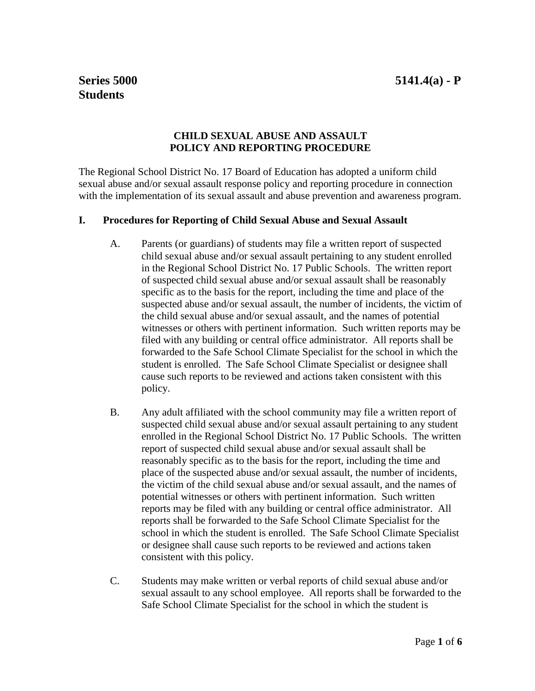## **Series 5000 5141.4(a) - P**

# **Students**

## **CHILD SEXUAL ABUSE AND ASSAULT POLICY AND REPORTING PROCEDURE**

The Regional School District No. 17 Board of Education has adopted a uniform child sexual abuse and/or sexual assault response policy and reporting procedure in connection with the implementation of its sexual assault and abuse prevention and awareness program.

#### **I. Procedures for Reporting of Child Sexual Abuse and Sexual Assault**

- A. Parents (or guardians) of students may file a written report of suspected child sexual abuse and/or sexual assault pertaining to any student enrolled in the Regional School District No. 17 Public Schools. The written report of suspected child sexual abuse and/or sexual assault shall be reasonably specific as to the basis for the report, including the time and place of the suspected abuse and/or sexual assault, the number of incidents, the victim of the child sexual abuse and/or sexual assault, and the names of potential witnesses or others with pertinent information. Such written reports may be filed with any building or central office administrator. All reports shall be forwarded to the Safe School Climate Specialist for the school in which the student is enrolled. The Safe School Climate Specialist or designee shall cause such reports to be reviewed and actions taken consistent with this policy.
- B. Any adult affiliated with the school community may file a written report of suspected child sexual abuse and/or sexual assault pertaining to any student enrolled in the Regional School District No. 17 Public Schools. The written report of suspected child sexual abuse and/or sexual assault shall be reasonably specific as to the basis for the report, including the time and place of the suspected abuse and/or sexual assault, the number of incidents, the victim of the child sexual abuse and/or sexual assault, and the names of potential witnesses or others with pertinent information. Such written reports may be filed with any building or central office administrator. All reports shall be forwarded to the Safe School Climate Specialist for the school in which the student is enrolled. The Safe School Climate Specialist or designee shall cause such reports to be reviewed and actions taken consistent with this policy.
- C. Students may make written or verbal reports of child sexual abuse and/or sexual assault to any school employee. All reports shall be forwarded to the Safe School Climate Specialist for the school in which the student is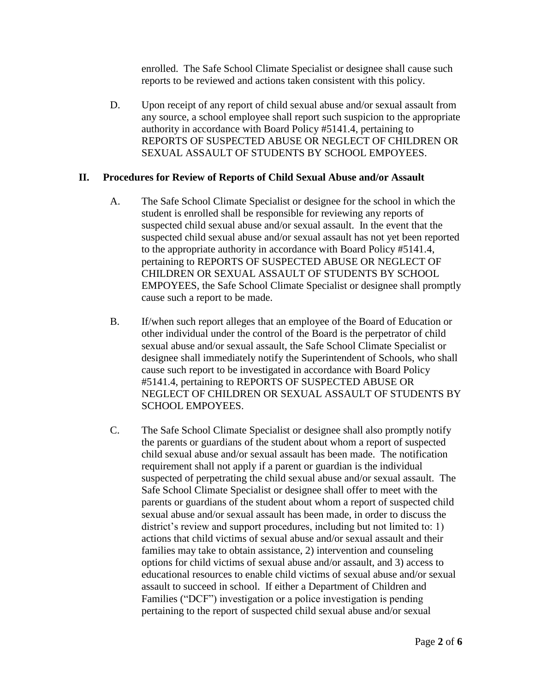enrolled. The Safe School Climate Specialist or designee shall cause such reports to be reviewed and actions taken consistent with this policy.

D. Upon receipt of any report of child sexual abuse and/or sexual assault from any source, a school employee shall report such suspicion to the appropriate authority in accordance with Board Policy #5141.4, pertaining to REPORTS OF SUSPECTED ABUSE OR NEGLECT OF CHILDREN OR SEXUAL ASSAULT OF STUDENTS BY SCHOOL EMPOYEES.

#### **II. Procedures for Review of Reports of Child Sexual Abuse and/or Assault**

- A. The Safe School Climate Specialist or designee for the school in which the student is enrolled shall be responsible for reviewing any reports of suspected child sexual abuse and/or sexual assault. In the event that the suspected child sexual abuse and/or sexual assault has not yet been reported to the appropriate authority in accordance with Board Policy #5141.4, pertaining to REPORTS OF SUSPECTED ABUSE OR NEGLECT OF CHILDREN OR SEXUAL ASSAULT OF STUDENTS BY SCHOOL EMPOYEES, the Safe School Climate Specialist or designee shall promptly cause such a report to be made.
- B. If/when such report alleges that an employee of the Board of Education or other individual under the control of the Board is the perpetrator of child sexual abuse and/or sexual assault, the Safe School Climate Specialist or designee shall immediately notify the Superintendent of Schools, who shall cause such report to be investigated in accordance with Board Policy #5141.4, pertaining to REPORTS OF SUSPECTED ABUSE OR NEGLECT OF CHILDREN OR SEXUAL ASSAULT OF STUDENTS BY SCHOOL EMPOYEES.
- C. The Safe School Climate Specialist or designee shall also promptly notify the parents or guardians of the student about whom a report of suspected child sexual abuse and/or sexual assault has been made. The notification requirement shall not apply if a parent or guardian is the individual suspected of perpetrating the child sexual abuse and/or sexual assault. The Safe School Climate Specialist or designee shall offer to meet with the parents or guardians of the student about whom a report of suspected child sexual abuse and/or sexual assault has been made, in order to discuss the district's review and support procedures, including but not limited to: 1) actions that child victims of sexual abuse and/or sexual assault and their families may take to obtain assistance, 2) intervention and counseling options for child victims of sexual abuse and/or assault, and 3) access to educational resources to enable child victims of sexual abuse and/or sexual assault to succeed in school. If either a Department of Children and Families ("DCF") investigation or a police investigation is pending pertaining to the report of suspected child sexual abuse and/or sexual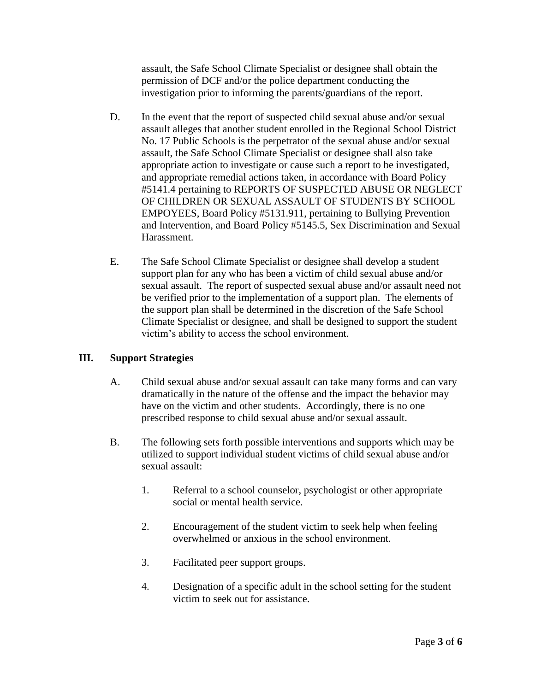assault, the Safe School Climate Specialist or designee shall obtain the permission of DCF and/or the police department conducting the investigation prior to informing the parents/guardians of the report.

- D. In the event that the report of suspected child sexual abuse and/or sexual assault alleges that another student enrolled in the Regional School District No. 17 Public Schools is the perpetrator of the sexual abuse and/or sexual assault, the Safe School Climate Specialist or designee shall also take appropriate action to investigate or cause such a report to be investigated, and appropriate remedial actions taken, in accordance with Board Policy #5141.4 pertaining to REPORTS OF SUSPECTED ABUSE OR NEGLECT OF CHILDREN OR SEXUAL ASSAULT OF STUDENTS BY SCHOOL EMPOYEES, Board Policy #5131.911, pertaining to Bullying Prevention and Intervention, and Board Policy #5145.5, Sex Discrimination and Sexual Harassment.
- E. The Safe School Climate Specialist or designee shall develop a student support plan for any who has been a victim of child sexual abuse and/or sexual assault. The report of suspected sexual abuse and/or assault need not be verified prior to the implementation of a support plan. The elements of the support plan shall be determined in the discretion of the Safe School Climate Specialist or designee, and shall be designed to support the student victim's ability to access the school environment.

## **III. Support Strategies**

- A. Child sexual abuse and/or sexual assault can take many forms and can vary dramatically in the nature of the offense and the impact the behavior may have on the victim and other students. Accordingly, there is no one prescribed response to child sexual abuse and/or sexual assault.
- B. The following sets forth possible interventions and supports which may be utilized to support individual student victims of child sexual abuse and/or sexual assault:
	- 1. Referral to a school counselor, psychologist or other appropriate social or mental health service.
	- 2. Encouragement of the student victim to seek help when feeling overwhelmed or anxious in the school environment.
	- 3. Facilitated peer support groups.
	- 4. Designation of a specific adult in the school setting for the student victim to seek out for assistance.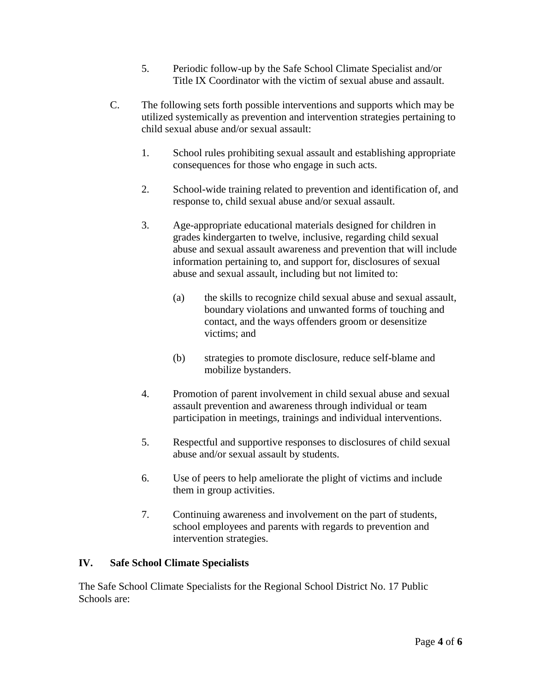- 5. Periodic follow-up by the Safe School Climate Specialist and/or Title IX Coordinator with the victim of sexual abuse and assault.
- C. The following sets forth possible interventions and supports which may be utilized systemically as prevention and intervention strategies pertaining to child sexual abuse and/or sexual assault:
	- 1. School rules prohibiting sexual assault and establishing appropriate consequences for those who engage in such acts.
	- 2. School-wide training related to prevention and identification of, and response to, child sexual abuse and/or sexual assault.
	- 3. Age-appropriate educational materials designed for children in grades kindergarten to twelve, inclusive, regarding child sexual abuse and sexual assault awareness and prevention that will include information pertaining to, and support for, disclosures of sexual abuse and sexual assault, including but not limited to:
		- (a) the skills to recognize child sexual abuse and sexual assault, boundary violations and unwanted forms of touching and contact, and the ways offenders groom or desensitize victims; and
		- (b) strategies to promote disclosure, reduce self-blame and mobilize bystanders.
	- 4. Promotion of parent involvement in child sexual abuse and sexual assault prevention and awareness through individual or team participation in meetings, trainings and individual interventions.
	- 5. Respectful and supportive responses to disclosures of child sexual abuse and/or sexual assault by students.
	- 6. Use of peers to help ameliorate the plight of victims and include them in group activities.
	- 7. Continuing awareness and involvement on the part of students, school employees and parents with regards to prevention and intervention strategies.

## **IV. Safe School Climate Specialists**

The Safe School Climate Specialists for the Regional School District No. 17 Public Schools are: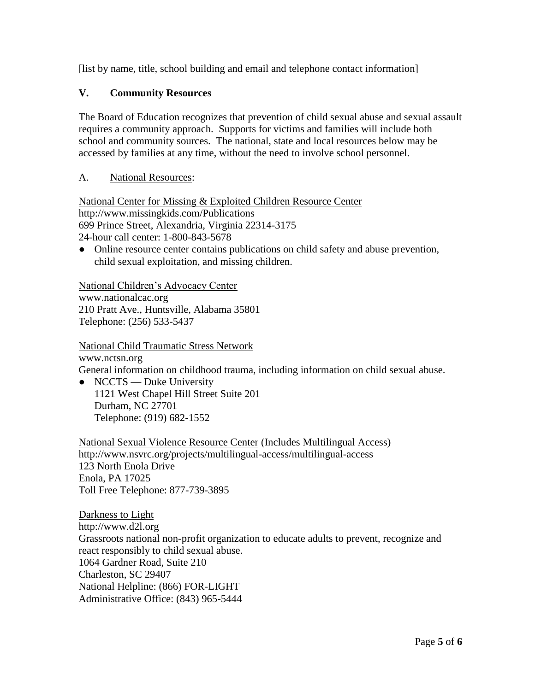[list by name, title, school building and email and telephone contact information]

## **V. Community Resources**

The Board of Education recognizes that prevention of child sexual abuse and sexual assault requires a community approach. Supports for victims and families will include both school and community sources. The national, state and local resources below may be accessed by families at any time, without the need to involve school personnel.

## A. National Resources:

National Center for Missing & Exploited Children Resource Center http://www.missingkids.com/Publications 699 Prince Street, Alexandria, Virginia 22314-3175 24-hour call center: 1-800-843-5678

● Online resource center contains publications on child safety and abuse prevention, child sexual exploitation, and missing children.

National Children's Advocacy Center www.nationalcac.org 210 Pratt Ave., Huntsville, Alabama 35801 Telephone: (256) 533-5437

National Child Traumatic Stress Network

www.nctsn.org General information on childhood trauma, including information on child sexual abuse.

• NCCTS — Duke University 1121 West Chapel Hill Street Suite 201 Durham, NC 27701 Telephone: (919) 682-1552

National Sexual Violence Resource Center (Includes Multilingual Access) http://www.nsvrc.org/projects/multilingual-access/multilingual-access 123 North Enola Drive Enola, PA 17025 Toll Free Telephone: 877-739-3895

Darkness to Light http://www.d2l.org Grassroots national non-profit organization to educate adults to prevent, recognize and react responsibly to child sexual abuse. 1064 Gardner Road, Suite 210 Charleston, SC 29407 National Helpline: (866) FOR-LIGHT Administrative Office: (843) 965-5444